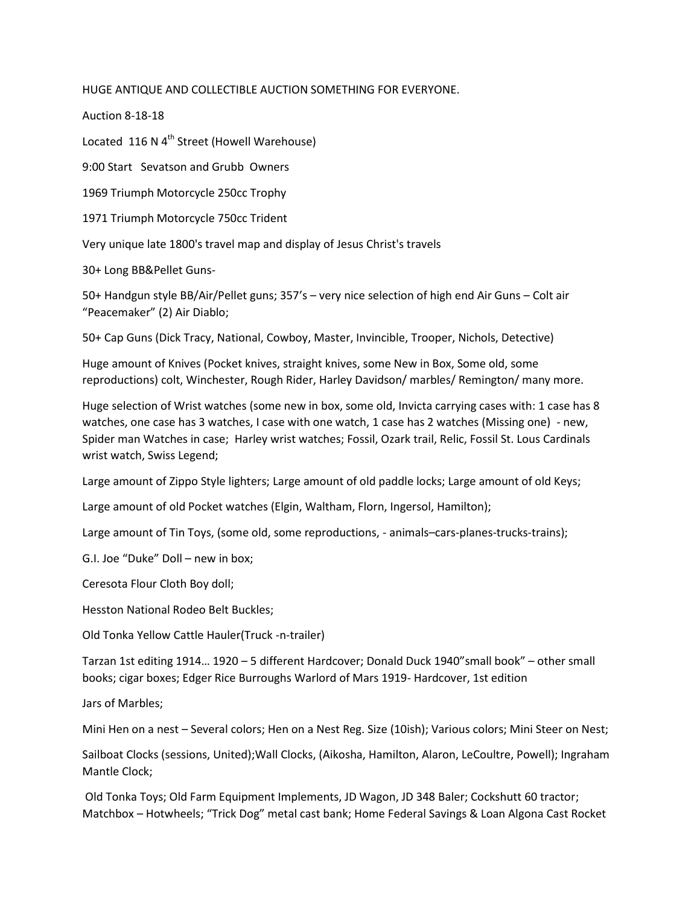HUGE ANTIQUE AND COLLECTIBLE AUCTION SOMETHING FOR EVERYONE.

Auction 8-18-18

Located 116 N 4<sup>th</sup> Street (Howell Warehouse)

9:00 Start Sevatson and Grubb Owners

1969 Triumph Motorcycle 250cc Trophy

1971 Triumph Motorcycle 750cc Trident

Very unique late 1800's travel map and display of Jesus Christ's travels

30+ Long BB&Pellet Guns-

50+ Handgun style BB/Air/Pellet guns; 357's – very nice selection of high end Air Guns – Colt air ͞Peacemaker͟ (2) Air Diablo;

50+ Cap Guns (Dick Tracy, National, Cowboy, Master, Invincible, Trooper, Nichols, Detective)

Huge amount of Knives (Pocket knives, straight knives, some New in Box, Some old, some reproductions) colt, Winchester, Rough Rider, Harley Davidson/ marbles/ Remington/ many more.

Huge selection of Wrist watches (some new in box, some old, Invicta carrying cases with: 1 case has 8 watches, one case has 3 watches, I case with one watch, 1 case has 2 watches (Missing one) - new, Spider man Watches in case; Harley wrist watches; Fossil, Ozark trail, Relic, Fossil St. Lous Cardinals wrist watch, Swiss Legend;

Large amount of Zippo Style lighters; Large amount of old paddle locks; Large amount of old Keys;

Large amount of old Pocket watches (Elgin, Waltham, Florn, Ingersol, Hamilton);

Large amount of Tin Toys, (some old, some reproductions, - animals–cars-planes-trucks-trains);

G.I. Joe "Duke" Doll - new in box;

Ceresota Flour Cloth Boy doll;

Hesston National Rodeo Belt Buckles;

Old Tonka Yellow Cattle Hauler(Truck -n-trailer)

Tarzan 1st editing 1914... 1920 – 5 different Hardcover; Donald Duck 1940"small book" – other small books; cigar boxes; Edger Rice Burroughs Warlord of Mars 1919- Hardcover, 1st edition

Jars of Marbles;

Mini Hen on a nest – Several colors; Hen on a Nest Reg. Size (10ish); Various colors; Mini Steer on Nest;

Sailboat Clocks (sessions, United);Wall Clocks, (Aikosha, Hamilton, Alaron, LeCoultre, Powell); Ingraham Mantle Clock;

 Old Tonka Toys; Old Farm Equipment Implements, JD Wagon, JD 348 Baler; Cockshutt 60 tractor; Matchbox - Hotwheels; "Trick Dog" metal cast bank; Home Federal Savings & Loan Algona Cast Rocket